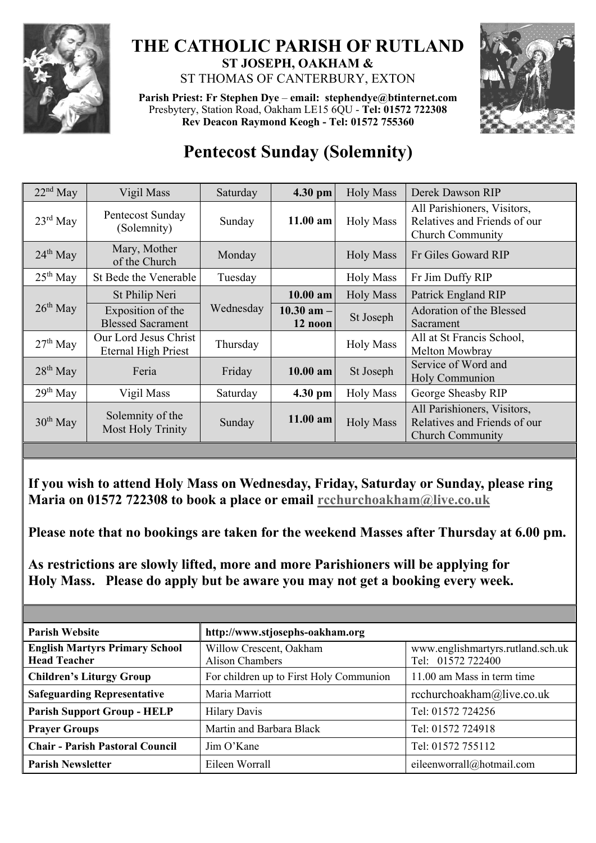

## **THE CATHOLIC PARISH OF RUTLAND ST JOSEPH, OAKHAM &**  ST THOMAS OF CANTERBURY, EXTON

**Parish Priest: Fr Stephen Dye** – **[email: stephendye@btinternet.com](mailto:email:%20%20stephendye@btinternet.com)** Presbytery, Station Road, Oakham LE15 6QU - **Tel: 01572 722308 Rev Deacon Raymond Keogh - Tel: 01572 755360**



## **Pentecost Sunday (Solemnity)**

| $22nd$ May | Vigil Mass                                          | Saturday  | 4.30 pm                   | <b>Holy Mass</b>                                   | Derek Dawson RIP                                                                       |  |
|------------|-----------------------------------------------------|-----------|---------------------------|----------------------------------------------------|----------------------------------------------------------------------------------------|--|
| $23rd$ May | Pentecost Sunday<br>(Solemnity)                     | Sunday    | 11.00 am                  | <b>Holy Mass</b>                                   | All Parishioners, Visitors,<br>Relatives and Friends of our<br><b>Church Community</b> |  |
| $24th$ May | Mary, Mother<br>of the Church                       | Monday    |                           | <b>Holy Mass</b>                                   | Fr Giles Goward RIP                                                                    |  |
| $25th$ May | St Bede the Venerable                               | Tuesday   |                           | <b>Holy Mass</b>                                   | Fr Jim Duffy RIP                                                                       |  |
| $26th$ May | St Philip Neri                                      |           | $10.00$ am                | <b>Holy Mass</b>                                   | Patrick England RIP                                                                    |  |
|            | Exposition of the<br><b>Blessed Sacrament</b>       | Wednesday | $10.30$ am $-$<br>12 noon | St Joseph                                          | Adoration of the Blessed<br>Sacrament                                                  |  |
| $27th$ May | Our Lord Jesus Christ<br><b>Eternal High Priest</b> | Thursday  |                           | <b>Holy Mass</b>                                   | All at St Francis School,<br>Melton Mowbray                                            |  |
| $28th$ May | Feria                                               | Friday    | 10.00 am                  | Service of Word and<br>St Joseph<br>Holy Communion |                                                                                        |  |
| $29th$ May | Vigil Mass                                          | Saturday  | 4.30 pm                   | <b>Holy Mass</b>                                   | George Sheasby RIP                                                                     |  |
| $30th$ May | Solemnity of the<br>Most Holy Trinity               | Sunday    | 11.00 am                  | <b>Holy Mass</b>                                   | All Parishioners, Visitors,<br>Relatives and Friends of our<br><b>Church Community</b> |  |

**If you wish to attend Holy Mass on Wednesday, Friday, Saturday or Sunday, please ring Maria on 01572 722308 to book a place or email [rcchurchoakham@live.co.uk](mailto:rcchurchoakham@live.co.uk)**

**Please note that no bookings are taken for the weekend Masses after Thursday at 6.00 pm.**

**As restrictions are slowly lifted, more and more Parishioners will be applying for Holy Mass. Please do apply but be aware you may not get a booking every week.**

| <b>Parish Website</b>                                        | http://www.stjosephs-oakham.org                   |                                                        |  |  |
|--------------------------------------------------------------|---------------------------------------------------|--------------------------------------------------------|--|--|
| <b>English Martyrs Primary School</b><br><b>Head Teacher</b> | Willow Crescent, Oakham<br><b>Alison Chambers</b> | www.englishmartyrs.rutland.sch.uk<br>Tel: 01572 722400 |  |  |
| <b>Children's Liturgy Group</b>                              | For children up to First Holy Communion           | 11.00 am Mass in term time                             |  |  |
| <b>Safeguarding Representative</b>                           | Maria Marriott                                    | rcchurchoakham@live.co.uk                              |  |  |
| <b>Parish Support Group - HELP</b>                           | <b>Hilary Davis</b>                               | Tel: 01572 724256                                      |  |  |
| <b>Prayer Groups</b>                                         | Martin and Barbara Black                          | Tel: 01572 724918                                      |  |  |
| <b>Chair - Parish Pastoral Council</b>                       | Jim O'Kane                                        | Tel: 01572 755112                                      |  |  |
| <b>Parish Newsletter</b>                                     | Eileen Worrall                                    | eileenworrall@hotmail.com                              |  |  |